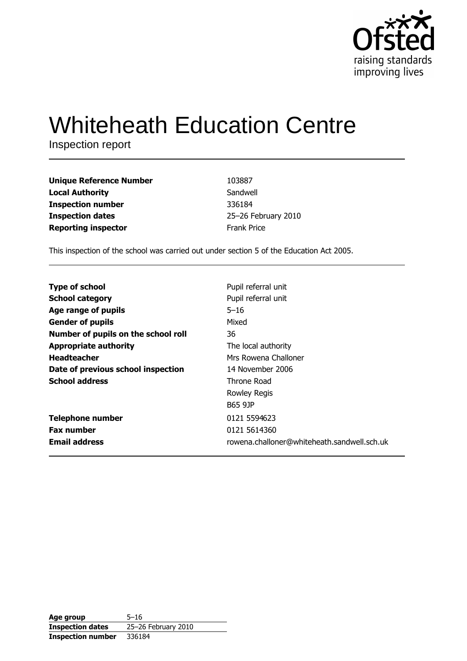

# **Whiteheath Education Centre**

Inspection report

| Unique Reference Number    | 103887              |
|----------------------------|---------------------|
| <b>Local Authority</b>     | Sandwell            |
| Inspection number          | 336184              |
| <b>Inspection dates</b>    | 25-26 February 2010 |
| <b>Reporting inspector</b> | <b>Frank Price</b>  |
|                            |                     |

This inspection of the school was carried out under section 5 of the Education Act 2005.

| <b>Type of school</b>               | Pupil referral unit                         |
|-------------------------------------|---------------------------------------------|
| <b>School category</b>              | Pupil referral unit                         |
| Age range of pupils                 | $5 - 16$                                    |
| <b>Gender of pupils</b>             | Mixed                                       |
| Number of pupils on the school roll | 36                                          |
| <b>Appropriate authority</b>        | The local authority                         |
| <b>Headteacher</b>                  | Mrs Rowena Challoner                        |
| Date of previous school inspection  | 14 November 2006                            |
| <b>School address</b>               | Throne Road                                 |
|                                     | Rowley Regis                                |
|                                     | B65 9JP                                     |
| <b>Telephone number</b>             | 0121 5594623                                |
| <b>Fax number</b>                   | 0121 5614360                                |
| <b>Email address</b>                | rowena.challoner@whiteheath.sandwell.sch.uk |

| Age group                | $5 - 16$            |
|--------------------------|---------------------|
| <b>Inspection dates</b>  | 25-26 February 2010 |
| <b>Inspection number</b> | 336184              |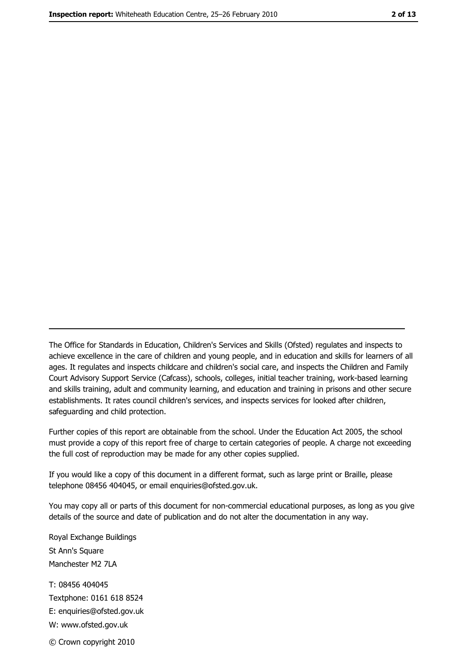The Office for Standards in Education, Children's Services and Skills (Ofsted) regulates and inspects to achieve excellence in the care of children and young people, and in education and skills for learners of all ages. It regulates and inspects childcare and children's social care, and inspects the Children and Family Court Advisory Support Service (Cafcass), schools, colleges, initial teacher training, work-based learning and skills training, adult and community learning, and education and training in prisons and other secure establishments. It rates council children's services, and inspects services for looked after children, safeguarding and child protection.

Further copies of this report are obtainable from the school. Under the Education Act 2005, the school must provide a copy of this report free of charge to certain categories of people. A charge not exceeding the full cost of reproduction may be made for any other copies supplied.

If you would like a copy of this document in a different format, such as large print or Braille, please telephone 08456 404045, or email enquiries@ofsted.gov.uk.

You may copy all or parts of this document for non-commercial educational purposes, as long as you give details of the source and date of publication and do not alter the documentation in any way.

Royal Exchange Buildings St Ann's Square Manchester M2 7LA T: 08456 404045 Textphone: 0161 618 8524 E: enquiries@ofsted.gov.uk W: www.ofsted.gov.uk © Crown copyright 2010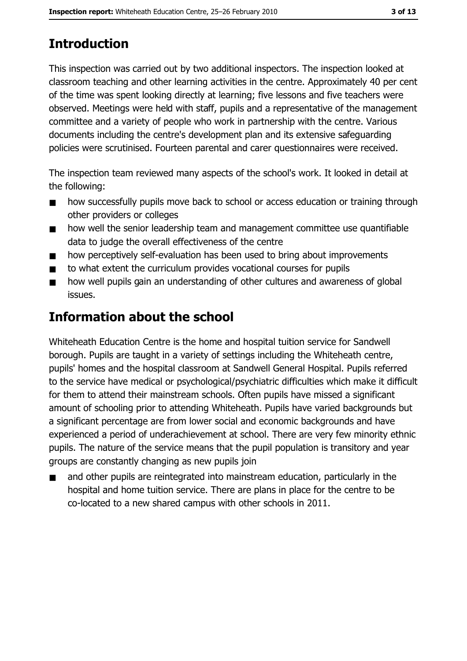## **Introduction**

This inspection was carried out by two additional inspectors. The inspection looked at classroom teaching and other learning activities in the centre. Approximately 40 per cent of the time was spent looking directly at learning; five lessons and five teachers were observed. Meetings were held with staff, pupils and a representative of the management committee and a variety of people who work in partnership with the centre. Various documents including the centre's development plan and its extensive safeguarding policies were scrutinised. Fourteen parental and carer questionnaires were received.

The inspection team reviewed many aspects of the school's work. It looked in detail at the following:

- how successfully pupils move back to school or access education or training through  $\blacksquare$ other providers or colleges
- how well the senior leadership team and management committee use quantifiable  $\blacksquare$ data to judge the overall effectiveness of the centre
- how perceptively self-evaluation has been used to bring about improvements  $\blacksquare$
- to what extent the curriculum provides vocational courses for pupils  $\blacksquare$
- how well pupils gain an understanding of other cultures and awareness of global  $\blacksquare$ issues.

## **Information about the school**

Whiteheath Education Centre is the home and hospital tuition service for Sandwell borough. Pupils are taught in a variety of settings including the Whiteheath centre, pupils' homes and the hospital classroom at Sandwell General Hospital. Pupils referred to the service have medical or psychological/psychiatric difficulties which make it difficult for them to attend their mainstream schools. Often pupils have missed a significant amount of schooling prior to attending Whiteheath. Pupils have varied backgrounds but a significant percentage are from lower social and economic backgrounds and have experienced a period of underachievement at school. There are very few minority ethnic pupils. The nature of the service means that the pupil population is transitory and year groups are constantly changing as new pupils join

and other pupils are reintegrated into mainstream education, particularly in the hospital and home tuition service. There are plans in place for the centre to be co-located to a new shared campus with other schools in 2011.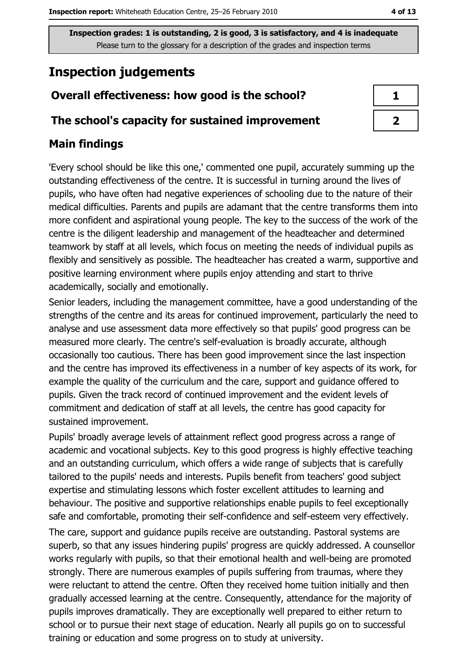## **Inspection judgements**

### Overall effectiveness: how good is the school?

#### The school's capacity for sustained improvement

#### **Main findings**

'Every school should be like this one,' commented one pupil, accurately summing up the outstanding effectiveness of the centre. It is successful in turning around the lives of pupils, who have often had negative experiences of schooling due to the nature of their medical difficulties. Parents and pupils are adamant that the centre transforms them into more confident and aspirational young people. The key to the success of the work of the centre is the diligent leadership and management of the headteacher and determined teamwork by staff at all levels, which focus on meeting the needs of individual pupils as flexibly and sensitively as possible. The headteacher has created a warm, supportive and positive learning environment where pupils enjoy attending and start to thrive academically, socially and emotionally.

Senior leaders, including the management committee, have a good understanding of the strengths of the centre and its areas for continued improvement, particularly the need to analyse and use assessment data more effectively so that pupils' good progress can be measured more clearly. The centre's self-evaluation is broadly accurate, although occasionally too cautious. There has been good improvement since the last inspection and the centre has improved its effectiveness in a number of key aspects of its work, for example the quality of the curriculum and the care, support and guidance offered to pupils. Given the track record of continued improvement and the evident levels of commitment and dedication of staff at all levels, the centre has good capacity for sustained improvement.

Pupils' broadly average levels of attainment reflect good progress across a range of academic and vocational subjects. Key to this good progress is highly effective teaching and an outstanding curriculum, which offers a wide range of subjects that is carefully tailored to the pupils' needs and interests. Pupils benefit from teachers' good subject expertise and stimulating lessons which foster excellent attitudes to learning and behaviour. The positive and supportive relationships enable pupils to feel exceptionally safe and comfortable, promoting their self-confidence and self-esteem very effectively.

The care, support and quidance pupils receive are outstanding. Pastoral systems are superb, so that any issues hindering pupils' progress are guickly addressed. A counsellor works regularly with pupils, so that their emotional health and well-being are promoted strongly. There are numerous examples of pupils suffering from traumas, where they were reluctant to attend the centre. Often they received home tuition initially and then gradually accessed learning at the centre. Consequently, attendance for the majority of pupils improves dramatically. They are exceptionally well prepared to either return to school or to pursue their next stage of education. Nearly all pupils go on to successful training or education and some progress on to study at university.

| ٦ |  |
|---|--|
| フ |  |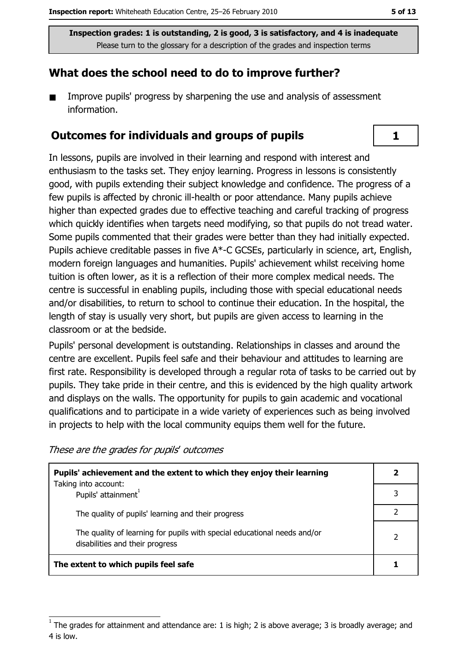#### What does the school need to do to improve further?

 $\blacksquare$ Improve pupils' progress by sharpening the use and analysis of assessment information.

#### **Outcomes for individuals and groups of pupils**

In lessons, pupils are involved in their learning and respond with interest and enthusiasm to the tasks set. They enjoy learning. Progress in lessons is consistently good, with pupils extending their subject knowledge and confidence. The progress of a few pupils is affected by chronic ill-health or poor attendance. Many pupils achieve higher than expected grades due to effective teaching and careful tracking of progress which quickly identifies when targets need modifying, so that pupils do not tread water. Some pupils commented that their grades were better than they had initially expected. Pupils achieve creditable passes in five A\*-C GCSEs, particularly in science, art, English, modern foreign languages and humanities. Pupils' achievement whilst receiving home tuition is often lower, as it is a reflection of their more complex medical needs. The centre is successful in enabling pupils, including those with special educational needs and/or disabilities, to return to school to continue their education. In the hospital, the length of stay is usually very short, but pupils are given access to learning in the classroom or at the bedside.

Pupils' personal development is outstanding. Relationships in classes and around the centre are excellent. Pupils feel safe and their behaviour and attitudes to learning are first rate. Responsibility is developed through a regular rota of tasks to be carried out by pupils. They take pride in their centre, and this is evidenced by the high quality artwork and displays on the walls. The opportunity for pupils to gain academic and vocational qualifications and to participate in a wide variety of experiences such as being involved in projects to help with the local community equips them well for the future.

These are the grades for pupils' outcomes

| Pupils' achievement and the extent to which they enjoy their learning                                       |               |  |  |
|-------------------------------------------------------------------------------------------------------------|---------------|--|--|
| Taking into account:<br>Pupils' attainment <sup>1</sup>                                                     | 3             |  |  |
| The quality of pupils' learning and their progress                                                          |               |  |  |
| The quality of learning for pupils with special educational needs and/or<br>disabilities and their progress | $\mathcal{P}$ |  |  |
| The extent to which pupils feel safe                                                                        |               |  |  |

 $\mathbf{1}$ 

The grades for attainment and attendance are: 1 is high; 2 is above average; 3 is broadly average; and 4 is low.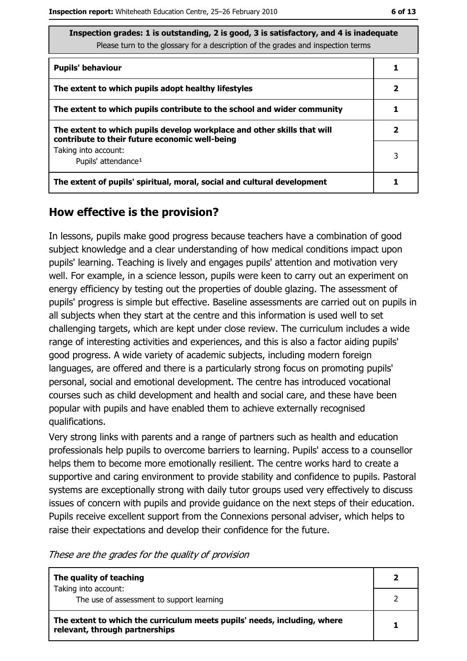| <b>Pupils' behaviour</b>                                                                                                  |   |
|---------------------------------------------------------------------------------------------------------------------------|---|
| The extent to which pupils adopt healthy lifestyles                                                                       | 2 |
| The extent to which pupils contribute to the school and wider community                                                   |   |
| The extent to which pupils develop workplace and other skills that will<br>contribute to their future economic well-being | 2 |
| Taking into account:<br>Pupils' attendance <sup>1</sup>                                                                   | 3 |
| The extent of pupils' spiritual, moral, social and cultural development                                                   |   |

#### How effective is the provision?

In lessons, pupils make good progress because teachers have a combination of good subject knowledge and a clear understanding of how medical conditions impact upon pupils' learning. Teaching is lively and engages pupils' attention and motivation very well. For example, in a science lesson, pupils were keen to carry out an experiment on energy efficiency by testing out the properties of double glazing. The assessment of pupils' progress is simple but effective. Baseline assessments are carried out on pupils in all subjects when they start at the centre and this information is used well to set challenging targets, which are kept under close review. The curriculum includes a wide range of interesting activities and experiences, and this is also a factor aiding pupils' good progress. A wide variety of academic subjects, including modern foreign languages, are offered and there is a particularly strong focus on promoting pupils' personal, social and emotional development. The centre has introduced vocational courses such as child development and health and social care, and these have been popular with pupils and have enabled them to achieve externally recognised qualifications.

Very strong links with parents and a range of partners such as health and education professionals help pupils to overcome barriers to learning. Pupils' access to a counsellor helps them to become more emotionally resilient. The centre works hard to create a supportive and caring environment to provide stability and confidence to pupils. Pastoral systems are exceptionally strong with daily tutor groups used very effectively to discuss issues of concern with pupils and provide quidance on the next steps of their education. Pupils receive excellent support from the Connexions personal adviser, which helps to raise their expectations and develop their confidence for the future.

| These are the grades for the quality of provision |  |
|---------------------------------------------------|--|
|---------------------------------------------------|--|

| The quality of teaching                                                                                    |  |
|------------------------------------------------------------------------------------------------------------|--|
| Taking into account:<br>The use of assessment to support learning                                          |  |
| The extent to which the curriculum meets pupils' needs, including, where<br>relevant, through partnerships |  |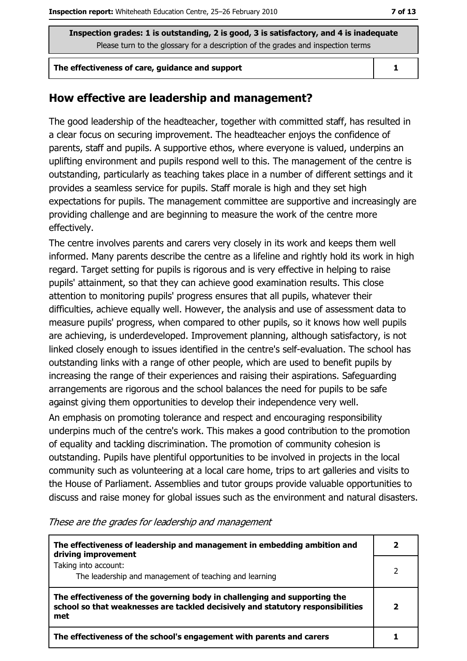#### The effectiveness of care, guidance and support

 $\mathbf{1}$ 

#### How effective are leadership and management?

The good leadership of the headteacher, together with committed staff, has resulted in a clear focus on securing improvement. The headteacher enjoys the confidence of parents, staff and pupils. A supportive ethos, where everyone is valued, underpins an uplifting environment and pupils respond well to this. The management of the centre is outstanding, particularly as teaching takes place in a number of different settings and it provides a seamless service for pupils. Staff morale is high and they set high expectations for pupils. The management committee are supportive and increasingly are providing challenge and are beginning to measure the work of the centre more effectively.

The centre involves parents and carers very closely in its work and keeps them well informed. Many parents describe the centre as a lifeline and rightly hold its work in high regard. Target setting for pupils is rigorous and is very effective in helping to raise pupils' attainment, so that they can achieve good examination results. This close attention to monitoring pupils' progress ensures that all pupils, whatever their difficulties, achieve equally well. However, the analysis and use of assessment data to measure pupils' progress, when compared to other pupils, so it knows how well pupils are achieving, is underdeveloped. Improvement planning, although satisfactory, is not linked closely enough to issues identified in the centre's self-evaluation. The school has outstanding links with a range of other people, which are used to benefit pupils by increasing the range of their experiences and raising their aspirations. Safeguarding arrangements are rigorous and the school balances the need for pupils to be safe against giving them opportunities to develop their independence very well.

An emphasis on promoting tolerance and respect and encouraging responsibility underpins much of the centre's work. This makes a good contribution to the promotion of equality and tackling discrimination. The promotion of community cohesion is outstanding. Pupils have plentiful opportunities to be involved in projects in the local community such as volunteering at a local care home, trips to art galleries and visits to the House of Parliament. Assemblies and tutor groups provide valuable opportunities to discuss and raise money for global issues such as the environment and natural disasters.

| The effectiveness of leadership and management in embedding ambition and<br>driving improvement                                                                     |  |
|---------------------------------------------------------------------------------------------------------------------------------------------------------------------|--|
| Taking into account:<br>The leadership and management of teaching and learning                                                                                      |  |
| The effectiveness of the governing body in challenging and supporting the<br>school so that weaknesses are tackled decisively and statutory responsibilities<br>met |  |
| The effectiveness of the school's engagement with parents and carers                                                                                                |  |

These are the grades for leadership and management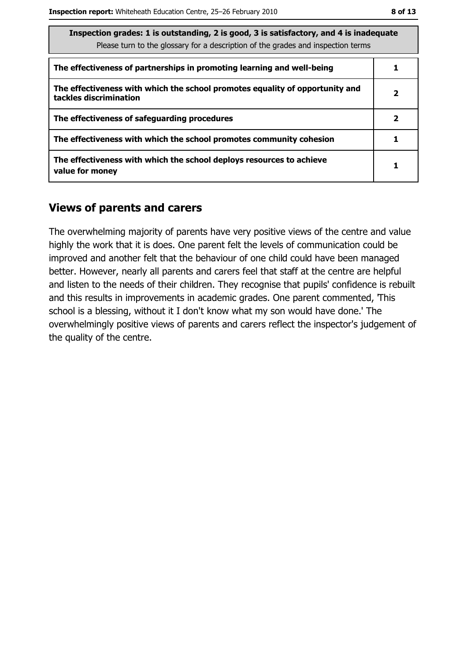| Inspection grades: 1 is outstanding, 2 is good, 3 is satisfactory, and 4 is inadequate<br>Please turn to the glossary for a description of the grades and inspection terms |   |  |
|----------------------------------------------------------------------------------------------------------------------------------------------------------------------------|---|--|
| The effectiveness of partnerships in promoting learning and well-being                                                                                                     |   |  |
| The effectiveness with which the school promotes equality of opportunity and<br>tackles discrimination                                                                     | 2 |  |
| The effectiveness of safeguarding procedures                                                                                                                               | 2 |  |
| The effectiveness with which the school promotes community cohesion                                                                                                        |   |  |
| The effectiveness with which the school deploys resources to achieve<br>value for money                                                                                    |   |  |

#### **Views of parents and carers**

The overwhelming majority of parents have very positive views of the centre and value highly the work that it is does. One parent felt the levels of communication could be improved and another felt that the behaviour of one child could have been managed better. However, nearly all parents and carers feel that staff at the centre are helpful and listen to the needs of their children. They recognise that pupils' confidence is rebuilt and this results in improvements in academic grades. One parent commented, This school is a blessing, without it I don't know what my son would have done.' The overwhelmingly positive views of parents and carers reflect the inspector's judgement of the quality of the centre.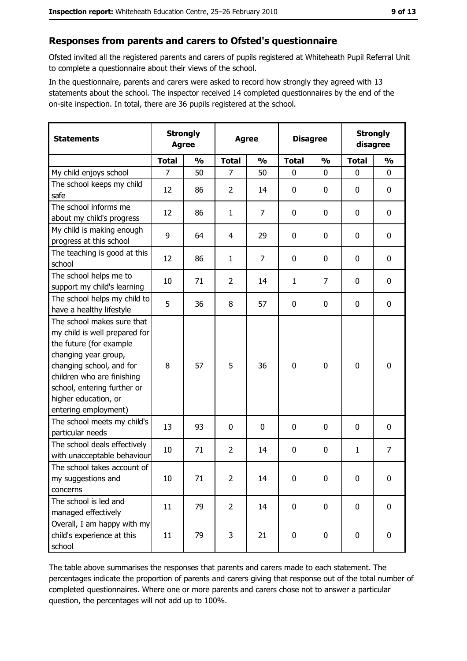#### Responses from parents and carers to Ofsted's questionnaire

Ofsted invited all the registered parents and carers of pupils registered at Whiteheath Pupil Referral Unit to complete a questionnaire about their views of the school.

In the questionnaire, parents and carers were asked to record how strongly they agreed with 13 statements about the school. The inspector received 14 completed questionnaires by the end of the on-site inspection. In total, there are 36 pupils registered at the school.

| <b>Statements</b>                                                                                                                                                                                                                                       | <b>Agree</b>   | <b>Strongly</b> | <b>Agree</b>   |                | <b>Disagree</b> |               | <b>Strongly</b><br>disagree |                |
|---------------------------------------------------------------------------------------------------------------------------------------------------------------------------------------------------------------------------------------------------------|----------------|-----------------|----------------|----------------|-----------------|---------------|-----------------------------|----------------|
|                                                                                                                                                                                                                                                         | <b>Total</b>   | $\frac{0}{0}$   | <b>Total</b>   | $\frac{0}{0}$  | <b>Total</b>    | $\frac{0}{0}$ | <b>Total</b>                | $\frac{0}{0}$  |
| My child enjoys school                                                                                                                                                                                                                                  | $\overline{7}$ | 50              | 7              | 50             | $\mathbf 0$     | 0             | $\overline{0}$              | 0              |
| The school keeps my child<br>safe                                                                                                                                                                                                                       | 12             | 86              | 2              | 14             | 0               | 0             | 0                           | 0              |
| The school informs me<br>about my child's progress                                                                                                                                                                                                      | 12             | 86              | $\mathbf{1}$   | $\overline{7}$ | 0               | $\mathbf 0$   | 0                           | 0              |
| My child is making enough<br>progress at this school                                                                                                                                                                                                    | 9              | 64              | 4              | 29             | $\mathbf 0$     | 0             | 0                           | 0              |
| The teaching is good at this<br>school                                                                                                                                                                                                                  | 12             | 86              | $\mathbf{1}$   | $\overline{7}$ | 0               | 0             | 0                           | 0              |
| The school helps me to<br>support my child's learning                                                                                                                                                                                                   | 10             | 71              | $\overline{2}$ | 14             | $\mathbf{1}$    | 7             | 0                           | 0              |
| The school helps my child to<br>have a healthy lifestyle                                                                                                                                                                                                | 5              | 36              | 8              | 57             | 0               | $\mathbf 0$   | 0                           | 0              |
| The school makes sure that<br>my child is well prepared for<br>the future (for example<br>changing year group,<br>changing school, and for<br>children who are finishing<br>school, entering further or<br>higher education, or<br>entering employment) | 8              | 57              | 5              | 36             | $\mathbf 0$     | 0             | 0                           | 0              |
| The school meets my child's<br>particular needs                                                                                                                                                                                                         | 13             | 93              | $\mathbf 0$    | $\mathbf 0$    | $\mathbf 0$     | 0             | 0                           | 0              |
| The school deals effectively<br>with unacceptable behaviour                                                                                                                                                                                             | 10             | 71              | $\overline{2}$ | 14             | 0               | 0             | $\mathbf{1}$                | $\overline{7}$ |
| The school takes account of<br>my suggestions and<br>concerns                                                                                                                                                                                           | 10             | 71              | $\overline{2}$ | 14             | 0               | $\bf{0}$      | 0                           | 0              |
| The school is led and<br>managed effectively                                                                                                                                                                                                            | 11             | 79              | $\overline{2}$ | 14             | $\mathbf 0$     | 0             | $\mathbf 0$                 | 0              |
| Overall, I am happy with my<br>child's experience at this<br>school                                                                                                                                                                                     | 11             | 79              | 3              | 21             | $\mathbf 0$     | 0             | $\mathbf 0$                 | 0              |

The table above summarises the responses that parents and carers made to each statement. The percentages indicate the proportion of parents and carers giving that response out of the total number of completed questionnaires. Where one or more parents and carers chose not to answer a particular question, the percentages will not add up to 100%.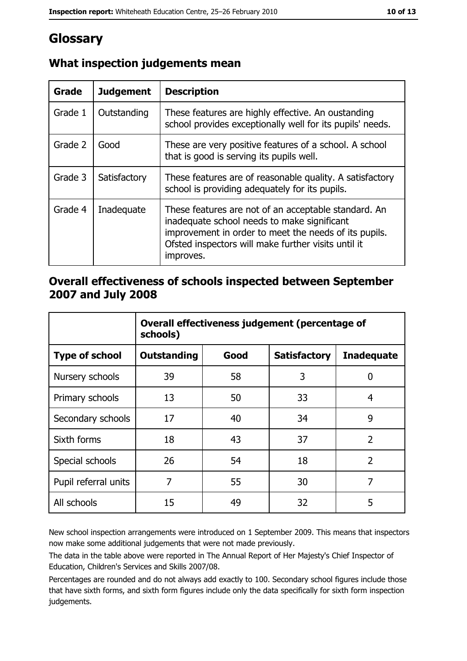## Glossary

| Grade   | <b>Judgement</b> | <b>Description</b>                                                                                                                                                                                                               |
|---------|------------------|----------------------------------------------------------------------------------------------------------------------------------------------------------------------------------------------------------------------------------|
| Grade 1 | Outstanding      | These features are highly effective. An oustanding<br>school provides exceptionally well for its pupils' needs.                                                                                                                  |
| Grade 2 | Good             | These are very positive features of a school. A school<br>that is good is serving its pupils well.                                                                                                                               |
| Grade 3 | Satisfactory     | These features are of reasonable quality. A satisfactory<br>school is providing adequately for its pupils.                                                                                                                       |
| Grade 4 | Inadequate       | These features are not of an acceptable standard. An<br>inadequate school needs to make significant<br>improvement in order to meet the needs of its pupils.<br>Ofsted inspectors will make further visits until it<br>improves. |

#### What inspection judgements mean

#### Overall effectiveness of schools inspected between September 2007 and July 2008

|                       | Overall effectiveness judgement (percentage of<br>schools) |      |                     |                   |
|-----------------------|------------------------------------------------------------|------|---------------------|-------------------|
| <b>Type of school</b> | <b>Outstanding</b>                                         | Good | <b>Satisfactory</b> | <b>Inadequate</b> |
| Nursery schools       | 39                                                         | 58   | 3                   | 0                 |
| Primary schools       | 13                                                         | 50   | 33                  | 4                 |
| Secondary schools     | 17                                                         | 40   | 34                  | 9                 |
| Sixth forms           | 18                                                         | 43   | 37                  | $\overline{2}$    |
| Special schools       | 26                                                         | 54   | 18                  | $\overline{2}$    |
| Pupil referral units  | 7                                                          | 55   | 30                  | 7                 |
| All schools           | 15                                                         | 49   | 32                  | 5                 |

New school inspection arrangements were introduced on 1 September 2009. This means that inspectors now make some additional judgements that were not made previously.

The data in the table above were reported in The Annual Report of Her Majesty's Chief Inspector of Education, Children's Services and Skills 2007/08.

Percentages are rounded and do not always add exactly to 100. Secondary school figures include those that have sixth forms, and sixth form figures include only the data specifically for sixth form inspection judgements.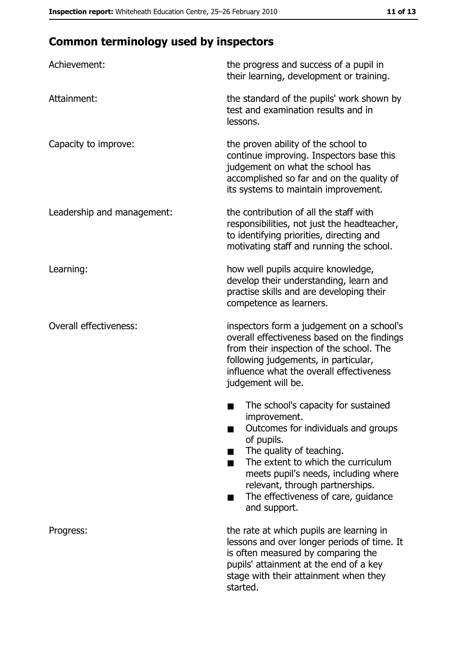## **Common terminology used by inspectors**

| Achievement:                  | the progress and success of a pupil in<br>their learning, development or training.                                                                                                                                                                                                                                |  |
|-------------------------------|-------------------------------------------------------------------------------------------------------------------------------------------------------------------------------------------------------------------------------------------------------------------------------------------------------------------|--|
| Attainment:                   | the standard of the pupils' work shown by<br>test and examination results and in<br>lessons.                                                                                                                                                                                                                      |  |
| Capacity to improve:          | the proven ability of the school to<br>continue improving. Inspectors base this<br>judgement on what the school has<br>accomplished so far and on the quality of<br>its systems to maintain improvement.                                                                                                          |  |
| Leadership and management:    | the contribution of all the staff with<br>responsibilities, not just the headteacher,<br>to identifying priorities, directing and<br>motivating staff and running the school.                                                                                                                                     |  |
| Learning:                     | how well pupils acquire knowledge,<br>develop their understanding, learn and<br>practise skills and are developing their<br>competence as learners.                                                                                                                                                               |  |
| <b>Overall effectiveness:</b> | inspectors form a judgement on a school's<br>overall effectiveness based on the findings<br>from their inspection of the school. The<br>following judgements, in particular,<br>influence what the overall effectiveness<br>judgement will be.                                                                    |  |
|                               | The school's capacity for sustained<br>improvement.<br>Outcomes for individuals and groups<br>of pupils.<br>The quality of teaching.<br>The extent to which the curriculum<br>meets pupil's needs, including where<br>relevant, through partnerships.<br>The effectiveness of care, guidance<br>٠<br>and support. |  |
| Progress:                     | the rate at which pupils are learning in<br>lessons and over longer periods of time. It<br>is often measured by comparing the<br>pupils' attainment at the end of a key<br>stage with their attainment when they<br>started.                                                                                      |  |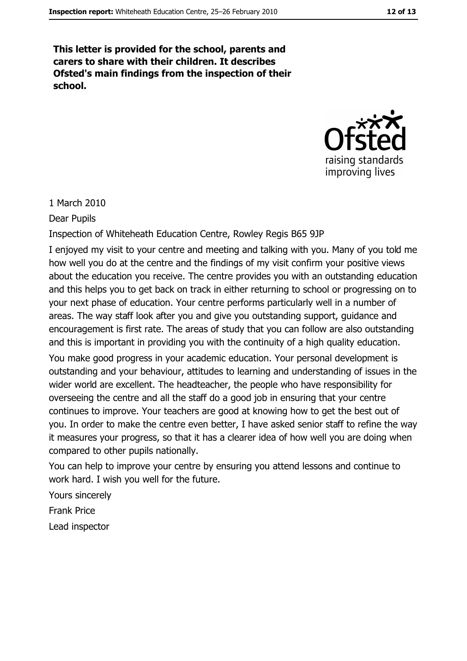This letter is provided for the school, parents and carers to share with their children. It describes Ofsted's main findings from the inspection of their school.



1 March 2010

**Dear Pupils** 

Inspection of Whiteheath Education Centre, Rowley Regis B65 9JP

I enjoyed my visit to your centre and meeting and talking with you. Many of you told me how well you do at the centre and the findings of my visit confirm your positive views about the education you receive. The centre provides you with an outstanding education and this helps you to get back on track in either returning to school or progressing on to your next phase of education. Your centre performs particularly well in a number of areas. The way staff look after you and give you outstanding support, guidance and encouragement is first rate. The areas of study that you can follow are also outstanding and this is important in providing you with the continuity of a high quality education.

You make good progress in your academic education. Your personal development is outstanding and your behaviour, attitudes to learning and understanding of issues in the wider world are excellent. The headteacher, the people who have responsibility for overseeing the centre and all the staff do a good job in ensuring that your centre continues to improve. Your teachers are good at knowing how to get the best out of you. In order to make the centre even better, I have asked senior staff to refine the way it measures your progress, so that it has a clearer idea of how well you are doing when compared to other pupils nationally.

You can help to improve your centre by ensuring you attend lessons and continue to work hard. I wish you well for the future.

Yours sincerely **Frank Price** Lead inspector